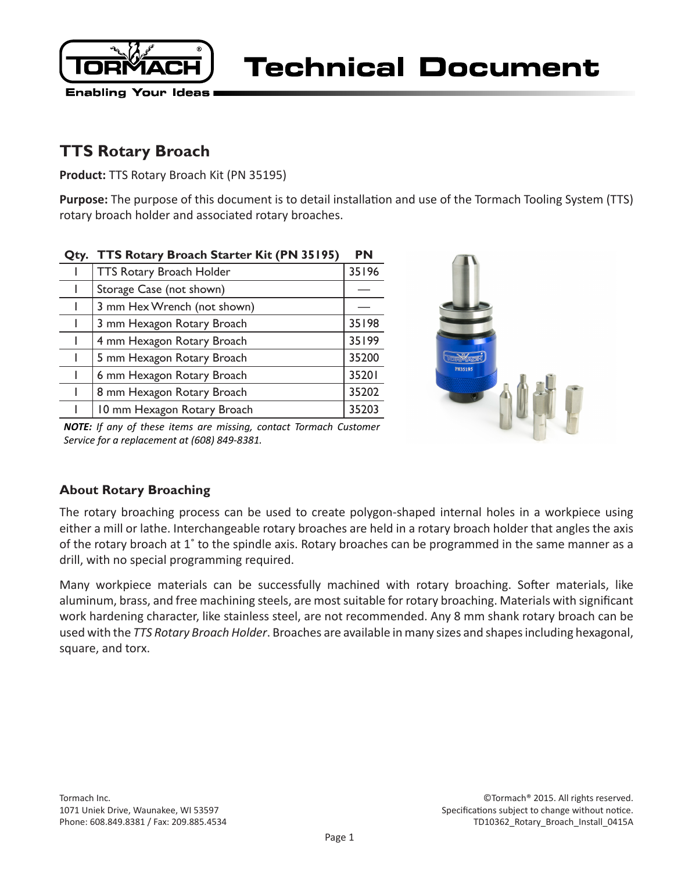

Technical Document

# **TTS Rotary Broach**

**Product:** TTS Rotary Broach Kit (PN 35195)

**Purpose:** The purpose of this document is to detail installation and use of the Tormach Tooling System (TTS) rotary broach holder and associated rotary broaches.

| Qty. | TTS Rotary Broach Starter Kit (PN 35195) | <b>PN</b> |
|------|------------------------------------------|-----------|
|      | <b>TTS Rotary Broach Holder</b>          | 35196     |
|      | Storage Case (not shown)                 |           |
|      | 3 mm Hex Wrench (not shown)              |           |
|      | 3 mm Hexagon Rotary Broach               | 35198     |
|      | 4 mm Hexagon Rotary Broach               | 35199     |
|      | 5 mm Hexagon Rotary Broach               | 35200     |
|      | 6 mm Hexagon Rotary Broach               | 35201     |
|      | 8 mm Hexagon Rotary Broach               | 35202     |
|      | 10 mm Hexagon Rotary Broach              | 35203     |
|      |                                          |           |



*NOTE: If any of these items are missing, contact Tormach Customer Service for a replacement at (608) 849-8381.*

# **About Rotary Broaching**

The rotary broaching process can be used to create polygon-shaped internal holes in a workpiece using either a mill or lathe. Interchangeable rotary broaches are held in a rotary broach holder that angles the axis of the rotary broach at 1˚ to the spindle axis. Rotary broaches can be programmed in the same manner as a drill, with no special programming required.

Many workpiece materials can be successfully machined with rotary broaching. Softer materials, like aluminum, brass, and free machining steels, are most suitable for rotary broaching. Materials with significant work hardening character, like stainless steel, are not recommended. Any 8 mm shank rotary broach can be used with the *TTS Rotary Broach Holder*. Broaches are available in many sizes and shapes including hexagonal, square, and torx.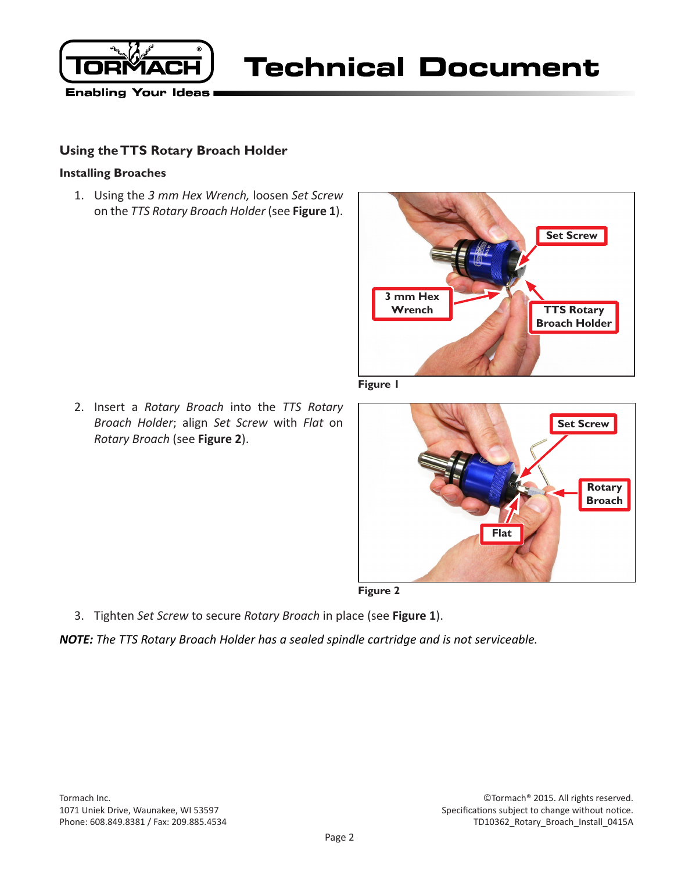

**Technical Document** 

## **Using the TTS Rotary Broach Holder**

#### **Installing Broaches**

1. Using the *3 mm Hex Wrench,* loosen *Set Screw*  on the *TTS Rotary Broach Holder* (see **Figure 1**).



**Figure 1**

2. Insert a *Rotary Broach* into the *TTS Rotary Broach Holder*; align *Set Screw* with *Flat* on *Rotary Broach* (see **Figure 2**).



- **Figure 2**
- 3. Tighten *Set Screw* to secure *Rotary Broach* in place (see **Figure 1**).

*NOTE: The TTS Rotary Broach Holder has a sealed spindle cartridge and is not serviceable.*